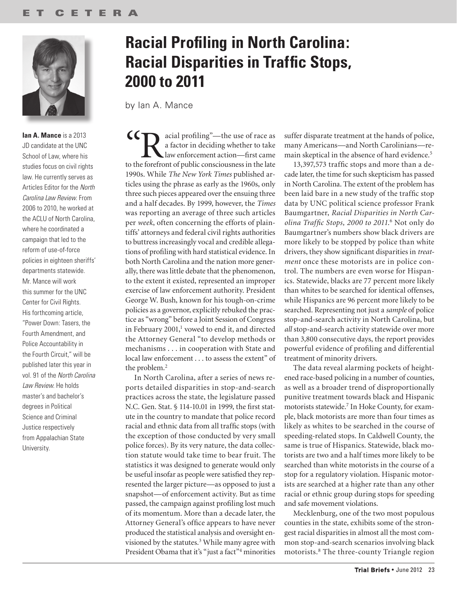

**Ian A. Mance** is a 2013 JD candidate at the UNC School of Law, where his studies focus on civil rights law. He currently serves as Articles Editor for the *North Carolina Law Review*. From 2006 to 2010, he worked at the ACLU of North Carolina, where he coordinated a campaign that led to the reform of use-of-force policies in eighteen sheriffs' departments statewide. Mr. Mance will work this summer for the UNC Center for Civil Rights. His forthcoming article, "Power Down: Tasers, the Fourth Amendment, and Police Accountability in the Fourth Circuit," will be published later this year in vol. 91 of the *North Carolina Law Review*. He holds master's and bachelor's degrees in Political Science and Criminal Justice respectively from Appalachian State University.

### **Racial Profiling in North Carolina: Racial Disparities in Traffic Stops, 2000 to 2011**

by Ian A. Mance

CCR acial profiling"—the use of race as<br>a factor in deciding whether to take<br>to the forefront of public consciousness in the late a factor in deciding whether to take law enforcement action—first came to the forefront of public consciousness in the late 1990s. While *The New York Times* published articles using the phrase as early as the 1960s, only three such pieces appeared over the ensuing three and a half decades. By 1999, however, the *Times* was reporting an average of three such articles per *week*, often concerning the efforts of plaintiffs' attorneys and federal civil rights authorities to buttress increasingly vocal and credible allegations of profiling with hard statistical evidence. In both North Carolina and the nation more generally, there was little debate that the phenomenon, to the extent it existed, represented an improper exercise of law enforcement authority. President George W. Bush, known for his tough-on-crime policies as a governor, explicitly rebuked the practice as "wrong" before a Joint Session of Congress in February 2001,<sup>1</sup> vowed to end it, and directed the Attorney General "to develop methods or mechanisms . . . in cooperation with State and local law enforcement . . . to assess the extent" of the problem.2

In North Carolina, after a series of news reports detailed disparities in stop-and-search practices across the state, the legislature passed N.C. Gen. Stat. § 114-10.01 in 1999, the first statute in the country to mandate that police record racial and ethnic data from all traffic stops (with the exception of those conducted by very small police forces). By its very nature, the data collection statute would take time to bear fruit. The statistics it was designed to generate would only be useful insofar as people were satisfied they represented the larger picture— as opposed to just a snapshot— of enforcement activity. But as time passed, the campaign against profiling lost much of its momentum. More than a decade later, the Attorney General's office appears to have never produced the statistical analysis and oversight envisioned by the statutes.<sup>3</sup> While many agree with President Obama that it's "just a fact"4 minorities suffer disparate treatment at the hands of police, many Americans— and North Carolinians— remain skeptical in the absence of hard evidence.<sup>5</sup>

13,397,573 traffic stops and more than a decade later, the time for such skepticism has passed in North Carolina. The extent of the problem has been laid bare in a new study of the traffic stop data by UNC political science professor Frank Baumgartner, *Racial Disparities in North Carolina Traffic Stops, 2000 to 2011*. 6 Not only do Baumgartner's numbers show black drivers are more likely to be stopped by police than white drivers, they show significant disparities in *treatment* once these motorists are in police control. The numbers are even worse for Hispanics. Statewide, blacks are 77 percent more likely than whites to be searched for identical offenses, while Hispanics are 96 percent more likely to be searched. Representing not just a *sample* of police stop-and-search activity in North Carolina, but *all* stop-and-search activity statewide over more than 3,800 consecutive days, the report provides powerful evidence of profiling and differential treatment of minority drivers.

The data reveal alarming pockets of heightened race-based policing in a number of counties, as well as a broader trend of disproportionally punitive treatment towards black and Hispanic motorists statewide.<sup>7</sup> In Hoke County, for example, black motorists are more than four times as likely as whites to be searched in the course of speeding-related stops. In Caldwell County, the same is true of Hispanics. Statewide, black motorists are two and a half times more likely to be searched than white motorists in the course of a stop for a regulatory violation. Hispanic motorists are searched at a higher rate than any other racial or ethnic group during stops for speeding and safe movement violations.

Mecklenburg, one of the two most populous counties in the state, exhibits some of the strongest racial disparities in almost all the most common stop-and-search scenarios involving black motorists.8 The three-county Triangle region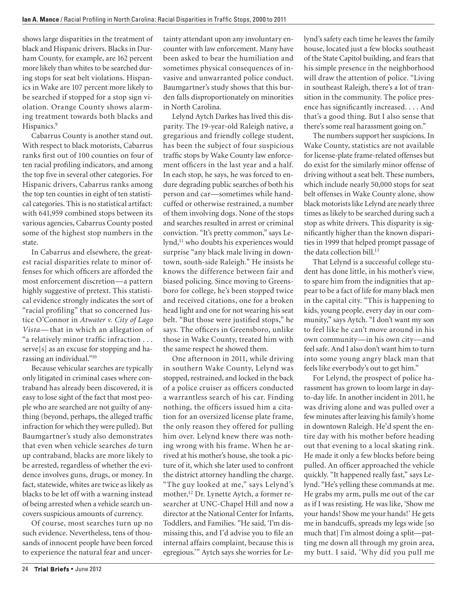shows large disparities in the treatment of black and Hispanic drivers. Blacks in Durham County, for example, are 162 percent more likely than whites to be searched during stops for seat belt violations. Hispanics in Wake are 107 percent more likely to be searched if stopped for a stop sign violation. Orange County shows alarming treatment towards both blacks and Hispanics.<sup>9</sup>

Cabarrus County is another stand out. With respect to black motorists, Cabarrus ranks first out of 100 counties on four of ten racial profiling indicators, and among the top five in several other categories. For Hispanic drivers, Cabarrus ranks among the top ten counties in eight of ten statistical categories. This is no statistical artifact: with 641,959 combined stops between its various agencies, Cabarrus County posted some of the highest stop numbers in the state.

In Cabarrus and elsewhere, the greatest racial disparities relate to minor offenses for which officers are afforded the most enforcement discretion— a pattern highly suggestive of pretext. This statistical evidence strongly indicates the sort of "racial profiling" that so concerned Justice O'Connor in *Atwater v. City of Lago Vista*— that in which an allegation of "a relatively minor traffic infraction . . . serve[s] as an excuse for stopping and harassing an individual."10

Because vehicular searches are typically only litigated in criminal cases where contraband has already been discovered, it is easy to lose sight of the fact that most people who are searched are not guilty of anything (beyond, perhaps, the alleged traffic infraction for which they were pulled). But Baumgartner's study also demonstrates that even when vehicle searches *do* turn up contraband, blacks are more likely to be arrested, regardless of whether the evidence involves guns, drugs, or money. In fact, statewide, whites are twice as likely as blacks to be let off with a warning instead of being arrested when a vehicle search uncovers suspicious amounts of currency.

Of course, most searches turn up no such evidence. Nevertheless, tens of thousands of innocent people have been forced to experience the natural fear and uncertainty attendant upon any involuntary encounter with law enforcement. Many have been asked to bear the humiliation and sometimes physical consequences of invasive and unwarranted police conduct. Baumgartner's study shows that this burden falls disproportionately on minorities in North Carolina.

Lelynd Aytch Darkes has lived this disparity. The 19-year-old Raleigh native, a gregarious and friendly college student, has been the subject of four suspicious traffic stops by Wake County law enforcement officers in the last year and a half. In each stop, he says, he was forced to endure degrading public searches of both his person and car— sometimes while handcuffed or otherwise restrained, a number of them involving dogs. None of the stops and searches resulted in arrest or criminal conviction. "It's pretty common," says Lelynd,<sup>11</sup> who doubts his experiences would surprise "any black male living in downtown, south-side Raleigh." He insists he knows the difference between fair and biased policing. Since moving to Greensboro for college, he's been stopped twice and received citations, one for a broken head light and one for not wearing his seat belt. "But those were justified stops," he says. The officers in Greensboro, unlike those in Wake County, treated him with the same respect he showed them.

One afternoon in 2011, while driving in southern Wake County, Lelynd was stopped, restrained, and locked in the back of a police cruiser as officers conducted a warrantless search of his car. Finding nothing, the officers issued him a citation for an oversized license plate frame, the only reason they offered for pulling him over. Lelynd knew there was nothing wrong with his frame. When he arrived at his mother's house, she took a picture of it, which she later used to confront the district attorney handling the charge. "The guy looked at me," says Lelynd's mother,<sup>12</sup> Dr. Lynette Aytch, a former researcher at UNC-Chapel Hill and now a director at the National Center for Infants, Toddlers, and Families. "He said, 'I'm dismissing this, and I'd advise you to file an internal affairs complaint, because this is egregious.'" Aytch says she worries for Lelynd's safety each time he leaves the family house, located just a few blocks southeast of the State Capitol building, and fears that his simple presence in the neighborhood will draw the attention of police. "Living in southeast Raleigh, there's a lot of transition in the community. The police presence has significantly increased. . . . And that's a good thing. But I also sense that there's some real harassment going on."

The numbers support her suspicions. In Wake County, statistics are not available for license-plate frame-related offenses but do exist for the similarly minor offense of driving without a seat belt. These numbers, which include nearly 50,000 stops for seat belt offenses in Wake County alone, show black motorists like Lelynd are nearly three times as likely to be searched during such a stop as white drivers. This disparity is significantly higher than the known disparities in 1999 that helped prompt passage of the data collection bill.<sup>13</sup>

That Lelynd is a successful college student has done little, in his mother's view, to spare him from the indignities that appear to be a fact of life for many black men in the capital city. "This is happening to kids, young people, every day in our community," says Aytch. "I don't want my son to feel like he can't move around in his own community— in his own city— and feel safe. And I also don't want him to turn into some young angry black man that feels like everybody's out to get him."

For Lelynd, the prospect of police harassment has grown to loom large in dayto-day life. In another incident in 2011, he was driving alone and was pulled over a few minutes after leaving his family's home in downtown Raleigh. He'd spent the entire day with his mother before heading out that evening to a local skating rink. He made it only a few blocks before being pulled. An officer approached the vehicle quickly. "It happened really fast," says Lelynd. "He's yelling these commands at me. He grabs my arm, pulls me out of the car as if I was resisting. He was like, 'Show me your hands! Show me your hands!' He gets me in handcuffs, spreads my legs wide [so much that] I'm almost doing a split—patting me down all through my groin area, my butt. I said, 'Why did you pull me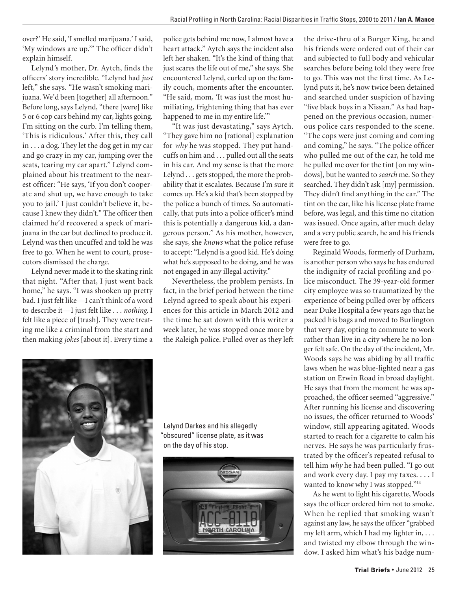over?' He said, 'I smelled marijuana.' I said, 'My windows are up.'" The officer didn't explain himself.

Lelynd's mother, Dr. Aytch, finds the officers' story incredible. "Lelynd had *just* left," she says. "He wasn't smoking marijuana. We'd been [together] all afternoon." Before long, says Lelynd, "there [were] like 5 or 6 cop cars behind my car, lights going. I'm sitting on the curb. I'm telling them, 'This is ridiculous.' After this, they call in . . . a dog. They let the dog get in my car and go crazy in my car, jumping over the seats, tearing my car apart." Lelynd complained about his treatment to the nearest officer: "He says, 'If you don't cooperate and shut up, we have enough to take you to jail.' I just couldn't believe it, because I knew they didn't." The officer then claimed he'd recovered a speck of marijuana in the car but declined to produce it. Lelynd was then uncuffed and told he was free to go. When he went to court, prosecutors dismissed the charge.

Lelynd never made it to the skating rink that night. "After that, I just went back home," he says. "I was shooken up pretty bad. I just felt like— I can't think of a word to describe it-I just felt like . . . *nothing*. I felt like a piece of [trash]. They were treating me like a criminal from the start and then making *jokes* [about it]. Every time a police gets behind me now, I almost have a heart attack." Aytch says the incident also left her shaken. "It's the kind of thing that just scares the life out of me," she says. She encountered Lelynd, curled up on the family couch, moments after the encounter. "He said, mom, 'It was just the most humiliating, frightening thing that has ever happened to me in my entire life.'"

"It was just devastating," says Aytch. "They gave him no [rational] explanation for *why* he was stopped. They put handcuffs on him and . . . pulled out all the seats in his car. And my sense is that the more Lelynd . . . gets stopped, the more the probability that it escalates. Because I'm sure it comes up. He's a kid that's been stopped by the police a bunch of times. So automatically, that puts into a police officer's mind this is potentially a dangerous kid, a dangerous person." As his mother, however, she says, she *knows* what the police refuse to accept: "Lelynd is a good kid. He's doing what he's supposed to be doing, and he was not engaged in any illegal activity."

Nevertheless, the problem persists. In fact, in the brief period between the time Lelynd agreed to speak about his experiences for this article in March 2012 and the time he sat down with this writer a week later, he was stopped once more by the Raleigh police. Pulled over as they left

the drive-thru of a Burger King, he and his friends were ordered out of their car and subjected to full body and vehicular searches before being told they were free to go. This was not the first time. As Lelynd puts it, he's now twice been detained and searched under suspicion of having "five black boys in a Nissan." As had happened on the previous occasion, numerous police cars responded to the scene. "The cops were just coming and coming and coming," he says. "The police officer who pulled me out of the car, he told me he pulled me over for the tint [on my windows], but he wanted to *search* me. So they searched. They didn't ask [my] permission. They didn't find anything in the car." The tint on the car, like his license plate frame before, was legal, and this time no citation was issued. Once again, after much delay and a very public search, he and his friends were free to go.

Reginald Woods, formerly of Durham, is another person who says he has endured the indignity of racial profiling and police misconduct. The 39-year-old former city employee was so traumatized by the experience of being pulled over by officers near Duke Hospital a few years ago that he packed his bags and moved to Burlington that very day, opting to commute to work rather than live in a city where he no longer felt safe. On the day of the incident, Mr. Woods says he was abiding by all traffic laws when he was blue-lighted near a gas station on Erwin Road in broad daylight. He says that from the moment he was approached, the officer seemed "aggressive." After running his license and discovering no issues, the officer returned to Woods' window, still appearing agitated. Woods started to reach for a cigarette to calm his nerves. He says he was particularly frustrated by the officer's repeated refusal to tell him *why* he had been pulled. "I go out and work every day. I pay my taxes. . . . I wanted to know why I was stopped."<sup>14</sup>

As he went to light his cigarette, Woods says the officer ordered him not to smoke. When he replied that smoking wasn't against any law, he says the officer "grabbed my left arm, which I had my lighter in, . . . and twisted my elbow through the window. I asked him what's his badge num-



 Lelynd Darkes and his allegedly "obscured" license plate, as it was on the day of his stop.

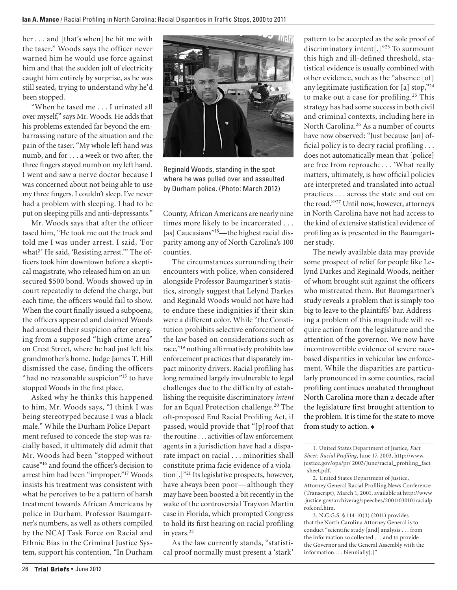ber . . . and [that's when] he hit me with the taser." Woods says the officer never warned him he would use force against him and that the sudden jolt of electricity caught him entirely by surprise, as he was still seated, trying to understand why he'd been stopped.

"When he tased me . . . I urinated all over myself," says Mr. Woods. He adds that his problems extended far beyond the embarrassing nature of the situation and the pain of the taser. "My whole left hand was numb, and for . . . a week or two after, the three fingers stayed numb on my left hand. I went and saw a nerve doctor because I was concerned about not being able to use my three fingers. I couldn't sleep. I've never had a problem with sleeping. I had to be put on sleeping pills and anti-depressants."

Mr. Woods says that after the officer tased him, "He took me out the truck and told me I was under arrest. I said, 'For what?' He said, 'Resisting arrest.'" The officers took him downtown before a skeptical magistrate, who released him on an unsecured \$500 bond. Woods showed up in court repeatedly to defend the charge, but each time, the officers would fail to show. When the court finally issued a subpoena, the officers appeared and claimed Woods had aroused their suspicion after emerging from a supposed "high crime area" on Crest Street, where he had just left his grandmother's home. Judge James T. Hill dismissed the case, finding the officers "had no reasonable suspicion"<sup>15</sup> to have stopped Woods in the first place.

Asked why he thinks this happened to him, Mr. Woods says, "I think I was being stereotyped because I was a black male." While the Durham Police Department refused to concede the stop was racially based, it ultimately did admit that Mr. Woods had been "stopped without cause"16 and found the officer's decision to arrest him had been "improper."17 Woods insists his treatment was consistent with what he perceives to be a pattern of harsh treatment towards African Americans by police in Durham. Professor Baumgartner's numbers, as well as others compiled by the NCAJ Task Force on Racial and Ethnic Bias in the Criminal Justice System, support his contention. "In Durham



Reginald Woods, standing in the spot where he was pulled over and assaulted by Durham police. (Photo: March 2012)

County, African Americans are nearly nine times more likely to be incarcerated . . . [as] Caucasians"<sup>18</sup>—the highest racial disparity among any of North Carolina's 100 counties.

The circumstances surrounding their encounters with police, when considered alongside Professor Baumgartner's statistics, strongly suggest that Lelynd Darkes and Reginald Woods would not have had to endure these indignities if their skin were a different color. While "the Constitution prohibits selective enforcement of the law based on considerations such as race,"19 nothing affirmatively prohibits law enforcement practices that disparately impact minority drivers. Racial profiling has long remained largely invulnerable to legal challenges due to the difficulty of establishing the requisite discriminatory *intent* for an Equal Protection challenge.<sup>20</sup> The oft-proposed End Racial Profiling Act, if passed, would provide that "[p]roof that the routine . . . activities of law enforcement agents in a jurisdiction have had a disparate impact on racial . . . minorities shall constitute prima facie evidence of a violation[.]"21 Its legislative prospects, however, have always been poor— although they may have been boosted a bit recently in the wake of the controversial Trayvon Martin case in Florida, which prompted Congress to hold its first hearing on racial profiling in years.<sup>22</sup>

As the law currently stands, "statistical proof normally must present a 'stark'

pattern to be accepted as the sole proof of discriminatory intent[.]"23 To surmount this high and ill-defined threshold, statistical evidence is usually combined with other evidence, such as the "absence [of] any legitimate justification for [a] stop,"24 to make out a case for profiling.<sup>25</sup> This strategy has had some success in both civil and criminal contexts, including here in North Carolina.26 As a number of courts have now observed: "Just because [an] official policy is to decry racial profiling . . . does not automatically mean that [police] are free from reproach: . . . 'What really matters, ultimately, is how official policies are interpreted and translated into actual practices . . . across the state and out on the road.'"27 Until now, however, attorneys in North Carolina have not had access to the kind of extensive statistical evidence of profiling as is presented in the Baumgartner study.

The newly available data may provide some prospect of relief for people like Lelynd Darkes and Reginald Woods, neither of whom brought suit against the officers who mistreated them. But Baumgartner's study reveals a problem that is simply too big to leave to the plaintiffs' bar. Addressing a problem of this magnitude will require action from the legislature and the attention of the governor. We now have incontrovertible evidence of severe racebased disparities in vehicular law enforcement. While the disparities are particularly pronounced in some counties, racial profiling continues unabated throughout North Carolina more than a decade after the legislature first brought attention to the problem. It is time for the state to move from study to action.

<sup>1.</sup> United States Department of Justice, *Fact Sheet: Racial Profiling*, June 17, 2003, http://www. justice.gov/opa/pr/ 2003/June/racial\_profiling\_fact \_sheet.pdf.

<sup>2.</sup> United States Department of Justice, Attorney General Racial Profiling News Conference (Transcript), March 1, 2001, available at http://www .justice.gov/archive/ag/speeches/2001/030101racialp rofconf.htm.

<sup>3.</sup> N.C.G.S. § 114-10(3) (2011) provides that the North Carolina Attorney General is to conduct "scientific study [and] analysis . . . from the information so collected . . . and to provide the Governor and the General Assembly with the information . . . biennially[.]"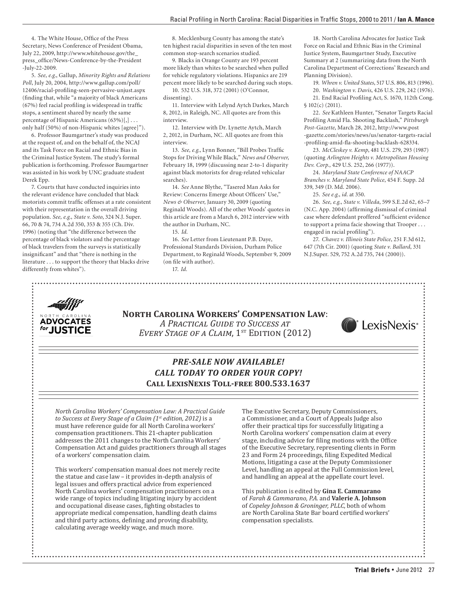4. The White House, Office of the Press Secretary, News Conference of President Obama, July 22, 2009, http://www.whitehouse.gov/the\_ press\_office/News-Conference-by-the-President -July-22-2009.

5. *See, e.g.*, Gallup, *Minority Rights and Relations Poll*, July 20, 2004, http://www.gallup.com/poll/ 12406/racial-profiling-seen-pervasive-unjust.aspx (finding that, while "a majority of black Americans (67%) feel racial profiling is widespread in traffic stops, a sentiment shared by nearly the same percentage of Hispanic Americans (63%)[,] . . . only half (50%) of non-Hispanic whites [agree]").

6. Professor Baumgartner's study was produced at the request of, and on the behalf of, the NCAJ and its Task Force on Racial and Ethnic Bias in the Criminal Justice System. The study's formal publication is forthcoming. Professor Baumgartner was assisted in his work by UNC graduate student Derek Epp.

7. Courts that have conducted inquiries into the relevant evidence have concluded that black motorists commit traffic offenses at a rate consistent with their representation in the overall driving population. *See, e.g.*, *State v. Soto*, 324 N.J. Super. 66, 70 & 74, 734 A.2d 350, 353 & 355 (Ch. Div. 1996) (noting that "the difference between the percentage of black violators and the percentage of black travelers from the surveys is statistically insignificant" and that "there is nothing in the literature . . . to support the theory that blacks drive differently from whites").

JUSTICE

8. Mecklenburg County has among the state's ten highest racial disparities in seven of the ten most common stop-search scenarios studied.

9. Blacks in Orange County are 193 percent more likely than whites to be searched when pulled for vehicle regulatory violations. Hispanics are 219 percent more likely to be searched during such stops.

10. 532 U.S. 318, 372 (2001) (O'Connor, dissenting).

11. Interview with Lelynd Aytch Darkes, March 8, 2012, in Raleigh, NC. All quotes are from this interview.

12. Interview with Dr. Lynette Aytch, March 2, 2012, in Durham, NC. All quotes are from this interview.

13. *See, e.g.*, Lynn Bonner, "Bill Probes Traffic Stops for Driving While Black," *News and Observer,*  February 18, 1999 (discussing near 2-to-1 disparity against black motorists for drug-related vehicular searches).

14. *See* Anne Blythe, "Tasered Man Asks for Review: Concerns Emerge About Officers' Use," *News & Observer*, January 30, 2009 (quoting Reginald Woods). All of the other Woods' quotes in this article are from a March 6, 2012 interview with the author in Durham, NC.

15. *Id*.

16. *See* Letter from Lieutenant P.B. Daye, Professional Standards Division, Durham Police Department, to Reginald Woods, September 9, 2009 (on file with author).

17. *Id.*

18. North Carolina Advocates for Justice Task Force on Racial and Ethnic Bias in the Criminal Justice System, Baumgartner Study, Executive Summary at 2 (summarizing data from the North Carolina Department of Corrections' Research and Planning Division).

19. *Whren v. United States*, 517 U.S. 806, 813 (1996).

20. *Washington v. Davis*, 426 U.S. 229, 242 (1976).

21. End Racial Profiling Act, S. 1670, 112th Cong. § 102(c) (2011).

22. *See* Kathleen Hunter, "Senator Targets Racial Profiling Amid Fla. Shooting Backlash," *Pittsburgh Post-Gazette*, March 28, 2012, http://www.post -gazette.com/stories/news/us/senator-targets-racial -profiling-amid-fla-shooting-backlash-628334.

23. *McCleskey v. Kemp*, 481 U.S. 279, 293 (1987) (quoting *Arlington Heights v. Metropolitan Housing Dev. Corp.,* 429 U.S. 252, 266 (1977)).

24. *Maryland State Conference of NAACP Branches v. Maryland State Police*, 454 F. Supp. 2d 339, 349 (D. Md. 2006).

25. *See e.g.*, *id.* at 350.

26. *See, e.g.*, *State v. Villeda*, 599 S.E.2d 62, 65–7 (N.C. App. 2004) (affirming dismissal of criminal case where defendant proffered "sufficient evidence to support a prima facie showing that Trooper . . . engaged in racial profiling").

27. *Chavez v. Illinois State Police*, 251 F.3d 612, 647 (7th Cir. 2001) (quoting *State v. Ballard*, 331 N.J.Super. 529, 752 A.2d 735, 744 (2000)).

**North Carolina Workers' Compensation Law**: *A Practical Guide to Success at EVERY STAGE OF A CLAIM,* 1<sup>st</sup> EDITION (2012)



### *PRE-SALE NOW AVAILABLE! CALL TODAY TO ORDER YOUR COPY!* **Call LexisNexis Toll-free 800.533.1637**

*North Carolina Workers' Compensation Law: A Practical Guide to Success at Every Stage of a Claim (1st edition, 2012)* is a must have reference guide for all North Carolina workers' compensation practitioners. This 21-chapter publication addresses the 2011 changes to the North Carolina Workers' Compensation Act and guides practitioners through all stages of a workers' compensation claim.

This workers' compensation manual does not merely recite the statue and case law – it provides in-depth analysis of legal issues and offers practical advice from experienced North Carolina workers' compensation practitioners on a wide range of topics including litigating injury by accident and occupational disease cases, fighting obstacles to appropriate medical compensation, handling death claims and third party actions, defining and proving disability, calculating average weekly wage, and much more.

The Executive Secretary, Deputy Commissioners, a Commissioner, and a Court of Appeals Judge also offer their practical tips for successfully litigating a North Carolina workers' compensation claim at every stage, including advice for filing motions with the Office of the Executive Secretary, representing clients in Form 23 and Form 24 proceedings, filing Expedited Medical Motions, litigating a case at the Deputy Commissioner Level, handling an appeal at the Full Commission level, and handling an appeal at the appellate court level.

This publication is edited by **Gina E. Cammarano** of *Farah & Cammarano, P.A.* and **Valerie A. Johnson** of *Copeley Johnson & Groninger, PLLC*, both of whom are North Carolina State Bar board certified workers' compensation specialists.